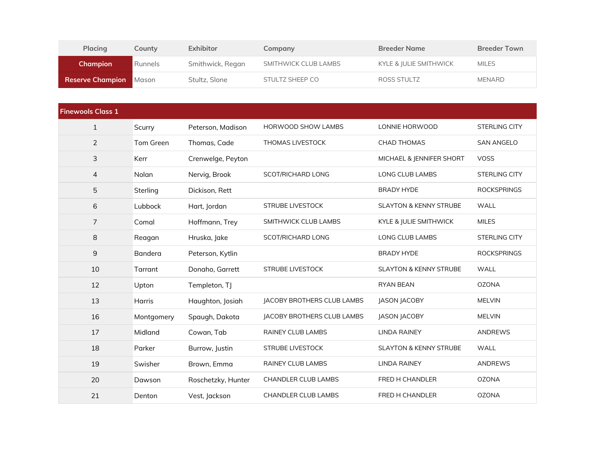| Placing                       | County  | Exhibitor        | Company              | <b>Breeder Name</b>    | <b>Breeder Town</b> |
|-------------------------------|---------|------------------|----------------------|------------------------|---------------------|
| Champion                      | Runnels | Smithwick, Regan | SMITHWICK CLUB LAMBS | KYLE & JULIE SMITHWICK | <b>MILES</b>        |
| <b>Reserve Champion</b> Mason |         | Stultz, Slone    | STULTZ SHEEP CO      | ROSS STULTZ            | <b>MENARD</b>       |

| <b>Finewools Class 1</b> |               |                    |                            |                                   |                      |
|--------------------------|---------------|--------------------|----------------------------|-----------------------------------|----------------------|
| $\mathbf{1}$             | Scurry        | Peterson, Madison  | <b>HORWOOD SHOW LAMBS</b>  | LONNIE HORWOOD                    | <b>STERLING CITY</b> |
| $\overline{2}$           | Tom Green     | Thomas, Cade       | <b>THOMAS LIVESTOCK</b>    | <b>CHAD THOMAS</b>                | <b>SAN ANGELO</b>    |
| 3                        | Kerr          | Crenwelge, Peyton  |                            | MICHAEL & JENNIFER SHORT          | <b>VOSS</b>          |
| 4                        | Nolan         | Nervig, Brook      | <b>SCOT/RICHARD LONG</b>   | <b>LONG CLUB LAMBS</b>            | <b>STERLING CITY</b> |
| 5                        | Sterling      | Dickison, Rett     |                            | <b>BRADY HYDE</b>                 | <b>ROCKSPRINGS</b>   |
| 6                        | Lubbock       | Hart, Jordan       | <b>STRUBE LIVESTOCK</b>    | <b>SLAYTON &amp; KENNY STRUBE</b> | <b>WALL</b>          |
| $\overline{7}$           | Comal         | Hoffmann, Trey     | SMITHWICK CLUB LAMBS       | KYLE & JULIE SMITHWICK            | <b>MILES</b>         |
| 8                        | Reagan        | Hruska, Jake       | SCOT/RICHARD LONG          | <b>LONG CLUB LAMBS</b>            | <b>STERLING CITY</b> |
| 9                        | Bandera       | Peterson, Kytlin   |                            | <b>BRADY HYDE</b>                 | <b>ROCKSPRINGS</b>   |
| 10                       | Tarrant       | Donaho, Garrett    | <b>STRUBE LIVESTOCK</b>    | <b>SLAYTON &amp; KENNY STRUBE</b> | <b>WALL</b>          |
| 12                       | Upton         | Templeton, TJ      |                            | <b>RYAN BEAN</b>                  | <b>OZONA</b>         |
| 13                       | <b>Harris</b> | Haughton, Josiah   | JACOBY BROTHERS CLUB LAMBS | <b>JASON JACOBY</b>               | <b>MELVIN</b>        |
| 16                       | Montgomery    | Spaugh, Dakota     | JACOBY BROTHERS CLUB LAMBS | JASON JACOBY                      | <b>MELVIN</b>        |
| 17                       | Midland       | Cowan, Tab         | <b>RAINEY CLUB LAMBS</b>   | <b>LINDA RAINEY</b>               | <b>ANDREWS</b>       |
| 18                       | Parker        | Burrow, Justin     | <b>STRUBE LIVESTOCK</b>    | <b>SLAYTON &amp; KENNY STRUBE</b> | WALL                 |
| 19                       | Swisher       | Brown, Emma        | <b>RAINEY CLUB LAMBS</b>   | <b>LINDA RAINEY</b>               | <b>ANDREWS</b>       |
| 20                       | Dawson        | Roschetzky, Hunter | <b>CHANDLER CLUB LAMBS</b> | FRED H CHANDLER                   | <b>OZONA</b>         |
| 21                       | Denton        | Vest, Jackson      | <b>CHANDLER CLUB LAMBS</b> | FRED H CHANDLER                   | <b>OZONA</b>         |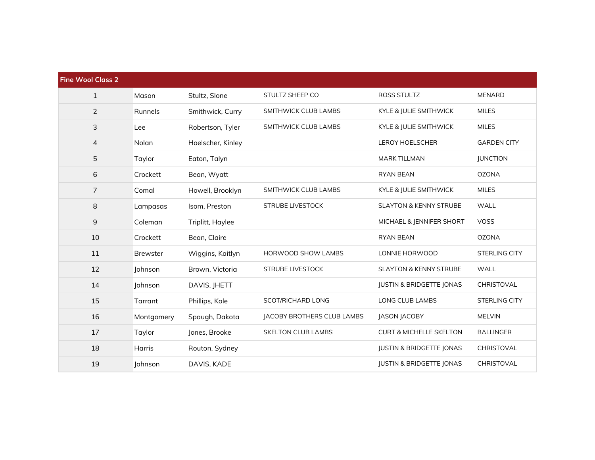| <b>Fine Wool Class 2</b> |                 |                   |                            |                                     |                      |
|--------------------------|-----------------|-------------------|----------------------------|-------------------------------------|----------------------|
| $\mathbf{1}$             | Mason           | Stultz, Slone     | STULTZ SHEEP CO            | <b>ROSS STULTZ</b>                  | <b>MENARD</b>        |
| $\overline{2}$           | Runnels         | Smithwick, Curry  | SMITHWICK CLUB LAMBS       | KYLE & JULIE SMITHWICK              | <b>MILES</b>         |
| 3                        | Lee             | Robertson, Tyler  | SMITHWICK CLUB LAMBS       | KYLE & JULIE SMITHWICK              | <b>MILES</b>         |
| 4                        | Nolan           | Hoelscher, Kinley |                            | <b>LEROY HOELSCHER</b>              | <b>GARDEN CITY</b>   |
| 5                        | Taylor          | Eaton, Talyn      |                            | <b>MARK TILLMAN</b>                 | <b>JUNCTION</b>      |
| 6                        | Crockett        | Bean, Wyatt       |                            | <b>RYAN BEAN</b>                    | <b>OZONA</b>         |
| $\overline{7}$           | Comal           | Howell, Brooklyn  | SMITHWICK CLUB LAMBS       | KYLE & JULIE SMITHWICK              | <b>MILES</b>         |
| 8                        | Lampasas        | Isom, Preston     | STRUBE LIVESTOCK           | <b>SLAYTON &amp; KENNY STRUBE</b>   | <b>WALL</b>          |
| $\mathsf 9$              | Coleman         | Triplitt, Haylee  |                            | MICHAEL & JENNIFER SHORT            | <b>VOSS</b>          |
| 10                       | Crockett        | Bean, Claire      |                            | <b>RYAN BEAN</b>                    | <b>OZONA</b>         |
| 11                       | <b>Brewster</b> | Wiggins, Kaitlyn  | HORWOOD SHOW LAMBS         | LONNIE HORWOOD                      | STERLING CITY        |
| 12                       | Johnson         | Brown, Victoria   | <b>STRUBE LIVESTOCK</b>    | <b>SLAYTON &amp; KENNY STRUBE</b>   | WALL                 |
| 14                       | Johnson         | DAVIS, JHETT      |                            | <b>JUSTIN &amp; BRIDGETTE JONAS</b> | CHRISTOVAL           |
| 15                       | Tarrant         | Phillips, Kole    | SCOT/RICHARD LONG          | <b>LONG CLUB LAMBS</b>              | <b>STERLING CITY</b> |
| 16                       | Montgomery      | Spaugh, Dakota    | JACOBY BROTHERS CLUB LAMBS | JASON JACOBY                        | <b>MELVIN</b>        |
| 17                       | Taylor          | Jones, Brooke     | <b>SKELTON CLUB LAMBS</b>  | <b>CURT &amp; MICHELLE SKELTON</b>  | <b>BALLINGER</b>     |
| 18                       | <b>Harris</b>   | Routon, Sydney    |                            | <b>JUSTIN &amp; BRIDGETTE JONAS</b> | CHRISTOVAL           |
| 19                       | Johnson         | DAVIS, KADE       |                            | <b>JUSTIN &amp; BRIDGETTE JONAS</b> | CHRISTOVAL           |